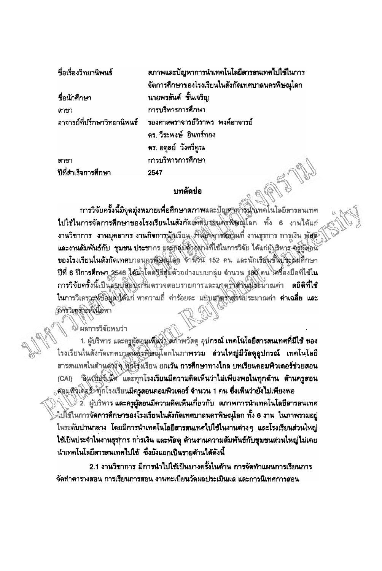| ชื่อเรื่องวิทยานิพนธ์ | ิสภาพและปัญหาการนำเทคโนโลยีสารสนเทศไปใช้ในการ                 |
|-----------------------|---------------------------------------------------------------|
|                       | จัดการศึกษาของโรงเรียนในสังกัดเทศบาลนครพิษณุโลก               |
| ชื่อนักศึกษา          | นายพรสันต์ ชั้นเจริญ                                          |
| สาขา                  | การบริหารการศึกษา                                             |
|                       | ้อาจารย์ที่ปรึกษาวิทยานิพนธ์ รองศาสตราจารย์วิราพร พงศ์อาจารย์ |
|                       | คร. วีระพงษ์ อินทร์ทอง                                        |
|                       | ดร. อดุลย์ วังศรีคูณ                                          |
| สาขา                  | การบริหารการศึกษา                                             |
| ปีที่สำเร็จการศึกษา   | 2547                                                          |

## บทคัดย่อ

การวิจัยครั้งนี้มีจุดมุ่งหมายเพื่อศึกษาสภาพและปัญหาการมุ่งเทคโนโลยีสารสนเทศ ไปใช้ในการจัดการศึกษาของโรงเรียนในสังกัดเหตุบุชลุนครุพิษณุโลก ทั้ง 6 งานได้แก่ งานวิชาการ งานบุคลากร งานกิจการนักเรียน งำนองอาชสุญานที่ งานชุรการ การเงิน พัสตั และงานสัมพันธ์กับ ชุมชน ประชากร และกลุ่มตัวอย่างที่ใช้ในการวิจัย ได้แก่ผู้บริหาร ครูผู้สอน ของโรงเรียนในสังกัดเทศบาลนครูซูลิสนุโลก จำนวน 152 คน และนักเรียนชั้นบิจะเมที่กษา ปีที่ 6 ปีการศึกษา 2546 ได้มีจุโดยจิธีสุมตัวอย่างแบบกลุ่ม จำนวน 180 คน เศร็องมือที่ใช้ใน การวิจัยครั้งนี้เป็นแบบสอบถามตรวจสอบรายการและมาตุรุ่งส่งนับในค่ะมาณค่า สถิติที่ใช้ ในการวิเคราะห์ข้อมูล ได้แก่ หาความถี่ คำร้อยละ แป๊บสูจูดรั้งตัวนับระมาณค่า ค่าเฉลี่ย และ อัครโเคราะห์เนื้อหา

ะ ผลการวิจัยพบว่า

1. ผู้บริหาร และครูผู้สอนเพิ่มง่า สภาพวัสดุ อุปกรณ์ เทคโนโลยีสารสนเทศที่มีใช้ ของ โรงเรียนในสังกัดเทศบาลนิคัมที่ษณุโลกในภาพรวม ส่วนใหญ่มีวัสดุอุปกรณ์ เทคโนโลยี ลารลนเทศในด้านต่าจึง พันธุ์จังเรียน ยกเว้น การศึกษาทางไกล บทเรียนคอมพิวเตอร์ช่วยสอน ี้จินเบื้อรับนี้ตั้ และทุกโรงเรียนมีความคิดเห็นว่าไม่เพียงพอในทุกด้าน ด้านครูสอน (CAI) <sub>่ง</sub>ค่อมพื้งเดือรั้<sup>9</sup>ทุกโรงเรียน**มีครูสอนคอมพิวเตอร์ จำนวน 1 คน ซึ่งเห็นว่ายังไม่เพียงพอ** 

2. ผู้บริหาร และครูผู้สอนมีความคิดเห็นเกี่ยวกับ สภาพการนำเทคโนโลยีสารสนเทศ ⊳ไป้โช้ในการจัดการศึกษาของโรงเรียนในสังกัดเทศบาลนครพิษณุโลก ทั้ง 6 งาน ในภาพรวมอยู่ ในระดับปานกลาง โดยมีการนำเทคโนโลยีสารสนเทศไปใช้ในงานต่างๆ และโรงเรียนส่วนใหญ่ ใช้เป็นประจำในงานธุรการ การเงิน และพัสดุ ด้านงานความสัมพันธ์กับชุมชนส่วนใหญ่ไม่เคย นำเทคโนโลยีสารสนเทศไปใช้ ซึ่งยังแยกเป็นรายด้านได้ดังนี้

2.1 งานวิชาการ มีการนำไปไช้เป็นบางครั้งในด้าน การจัดทำแผนการเรียนการ จัดทำตารางสอน การเรียนการสอน งานทะเบียนวัดผลประเมินผล และการนิเทศการสอน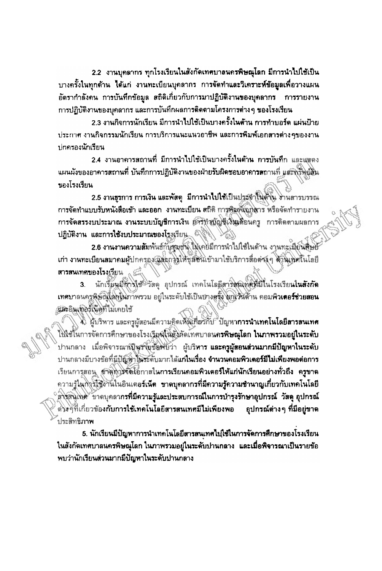2.2 งานบุคลากร ทุกโรงเรียนในสังกัดเทศบาลนครพิษณุโลก มีการนำไปใช้เป็น ี บางครั้งในทุกด้าน ได้แก่ งานทะเบียนบุคลากร การจัดทำและวิเคราะห์ข้อมูลเพื่อวางแผน อัตรากำลังคน การบันทึกข้อมูล สถิติเกี่ยวกับการมาปฏิบัติงานของบุคลากร - การรายงาน การปฏิบัติงานของบุคลากร และการบันทึกผลการติดตามโครงการต่าง ๆ ของโรงเรียน

2.3 งานกิจการนักเรียน มีการนำไปไข้เป็นบางครั้งในต้าน การทำบอร์ด แผ่นป้าย ประกาศ งานกิจกรรมนักเรียน การบริการแนะแนวอาชีพ และการพิมพ์เอกสารต่างๆของงาน ปกครองนักเรียน

2.4 งานอาคารสถานที่ มีการนำไปใช้เป็นบางครั้งในด้าน การบันทึก และแสดง นผนผังของอาคารสถานที่ บันทึกการปฏิบัติงานของฝ่ายรับผิดชอบอาคารสถานที่ แสะพรัพผู้สิ้น ของโรงเรียน

2.5 งานธุรการ การเงิน และพัสดุ มีการนำไปใช้เป็นประจำในด้าน งานดารบรรณ การจัดทำแบบรับหนังสือเข้า และออก งานทะเบียน สถิติ การพิมพ์เอกสาร หรือจัดทำรายงาน การจัดสรรงบประมาณ งานระบบบัญชีการเงิน ฮัศรีทั้งพัญชีเงินเดียนครู การติดตามผลการ ปฏิบัติงาน และการใช้งบประมาณของโรงเรียน...

2.6 งานงานความสัมพันธ์กันชุมชน ไม่เคยมีการนำไปใช้ในด้าน งานทะเมีย์นสีเษย เก่า งานทะเบียนสมาคมผู้ปกครองผู้สะการให้ชุมชนิเข้ามาใช้บริการสื่อต่างๆ ด้านเชิงในโลยี สารสนเทศของโรงเรียน

นักเรียนมีทางไช้ วัสดุ อุปกรณ์ เทคโนโลยีสารสมเพ็ตที่มีในโรงเรียนในสังกัด  $3<sub>1</sub>$ เทศบาลนครพิษัญไล่คนน้ำวิพรวม อยู่ในระดับใช้เป็นบางสูจุ้ง ผู้กูเว้นด้าน คอมพิวเตอร์ช่วยสอน นักะอินเทอร์เน็ตที่ไม่เคยใช้

4) ผู้บริหาร และครูผู้สอนมีความคิดเห็นเกี่ยวกับ ปัญหา**การนำเทคโนโลยีลารสนเทศ** ไปใช้ในการจัดการศึกษาของโรงเรียนในสิ่งอัดเทศบาลน**กรพิษณุโลก ในภาพรวมอยู่ในระดับ** ้ปานกลาง เมื่อพิจารณาญี่นูรังยุข้อพับว่า ผู้บริหา**ร และครูผู้สอนส่วนมากมีบัญหาในระดับ** ปานกลางมีบางข้อที่<u>มีปัญหาในระ</u>ดับมากได้แก**่ในเรื่อง จำนวนคอมพิวเตอร์มีไม่เพียงพอต่อการ** เรียนการุสอน สรัตถิงวัจจัยโอกาสในการเรียนคอมพิวเตอร์ให้แก่นักเรียนอย่างทั่วถึง ครูขาด ดวามรู้ในกังวิโชิงาันในอินเตอร์เน็ต ขาดบุคลากรที่มีความรู้ความชำนาญเกี่ยวกับเทคโนโลยี สิ่งสินให้ทั้งวาดบุคลากรที่มีความรู้และประสบการณ์ในการบำรุงรักษาอุปกรณ์ วัสดุ อุปกรณ์ ต่งงๆที่เกี่ยวข้องกับการใช้เทคโนโลยีสารสนเทศมีไม่เพียงพอ ้อุปกรณ์ต่าง ๆ ที่มีอยู่ขาด ประสิทธิภา**พ** 

5. นักเรียนมีปัญหาการนำเทคโนโลยีสารสนเทศไปใช้ในการจัดการศึกษาของโรงเรียน ในสังกัดเทศบาลนครพิษณุโลก ในภาพรวมอยู่ในระดับปานกลาง และเมื่อพิจารณาเป็นรายข้อ พบว่านักเรียนส่วนมากมีปัญหาในระดับปานกลาง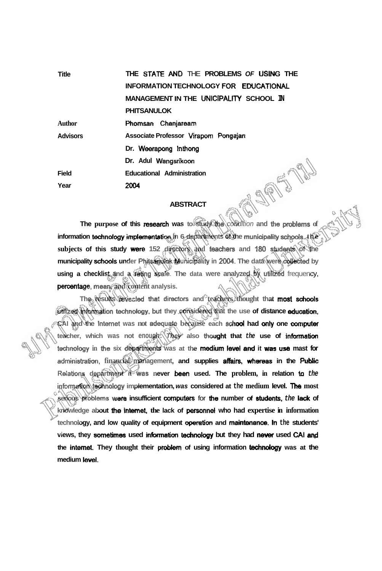| <b>Title</b>    | THE STATE AND THE PROBLEMS OF USING THE        |
|-----------------|------------------------------------------------|
|                 | INFORMATION TECHNOLOGY FOR EDUCATIONAL         |
|                 | <b>MANAGEMENT IN THE UNICIPALITY SCHOOL IN</b> |
|                 | <b>PHITSANULOK</b>                             |
| <b>Author</b>   | Phomsan Chanjaream                             |
| <b>Advisors</b> | Associate Professor Virapom Pongajan           |
|                 | Dr. Weerapong Inthong                          |
|                 | Dr. Adul Wangsrikoon                           |
| <b>Field</b>    | <b>Educational Administration</b>              |
| Year            | 2004                                           |
|                 |                                                |

## **ABSTRACT**

**The purpose of this research was to study** the condition **and the prpblems of**  information technology implementation in 6 departments of the municipality schools. the **subjects of this study were 152 directors and teachen and 180 students of the municipality schools under Phitsanulok Municipality in 2004. The data were dWed by using a checklist and a reting scare. The data were analyzed by utitiied** frequency, **percentage, mean, and content analysis.** 

The results revealed that directors and **teachers thought** that most schools *utilized* **information technology, but they considered that the use of distance education, CAI and the Internet was not adequate because each sdrd had** onty **one computer teacher, which was not enough. They also thought that the use of information technology in the six deparbnents was at the medium level and it was** usa **mast for**  administration, financial management, and supplies affairs, whereas in the Public **Reiations department it was never keen used. The problem, in relation ta the informetion twhnology implementation, was considered at the medium level.** The **most**   $s$ erious problems were insufficient computers for the number of students, the lack of **knowledge about the intemet, the lack of personnet who had expertise in information**  technology, and low quality of equipment operation and maintenance. In the students' views, they sometimes used information technology but they had never used CAI and **the internet. They thought their problem of using information technology was at the**  medium level.